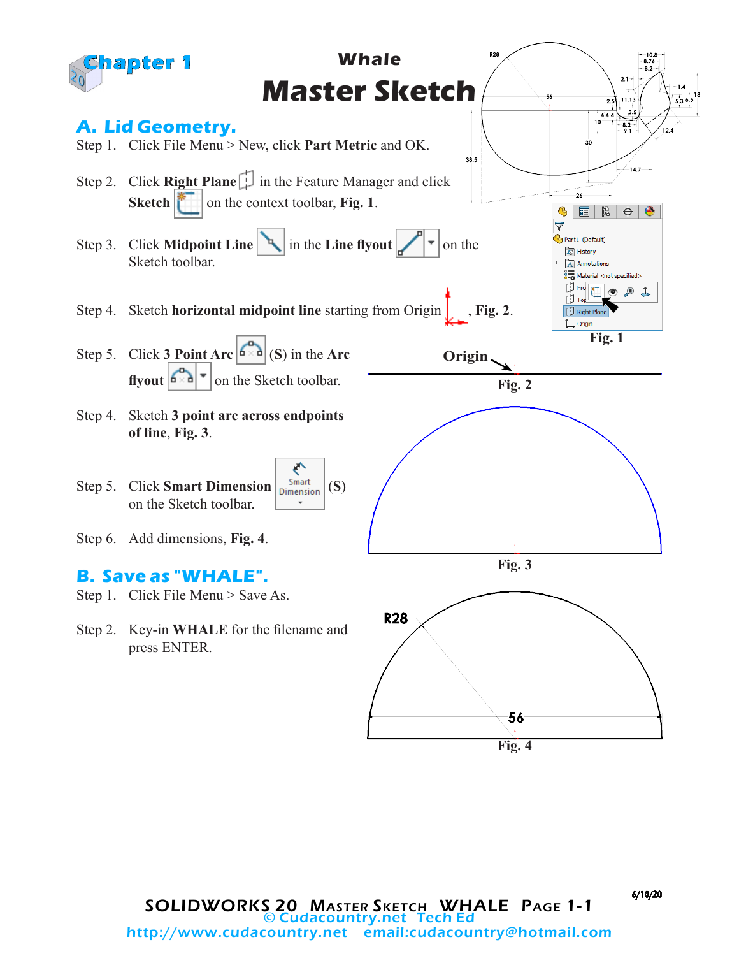

6/10/20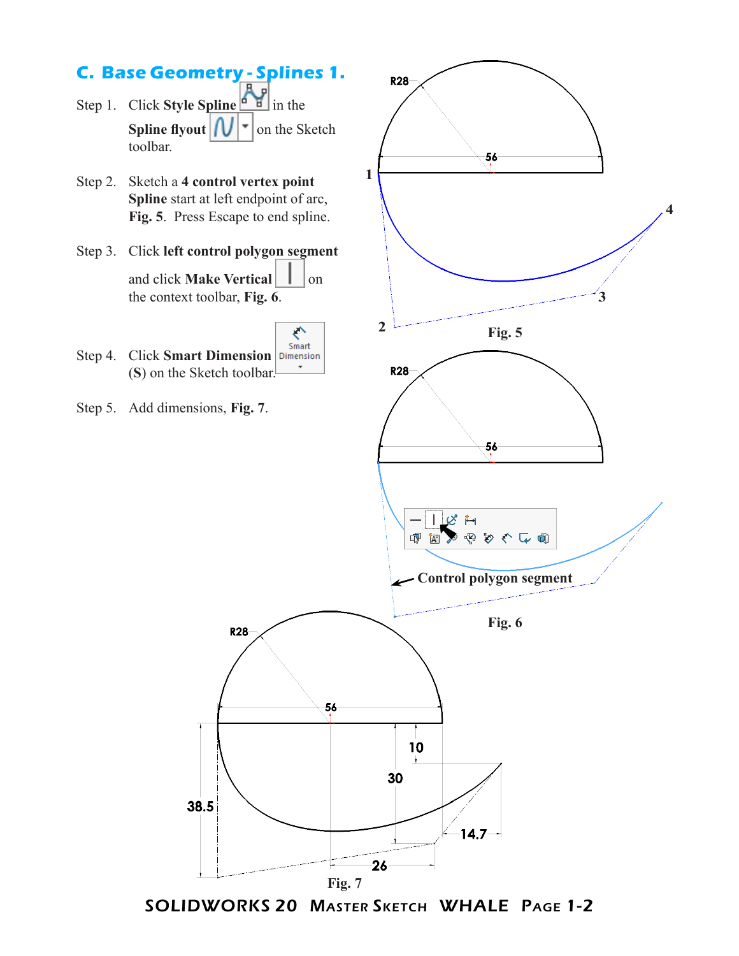

SOLIDWORKS 20 Master Sketch WHALE Page 1-2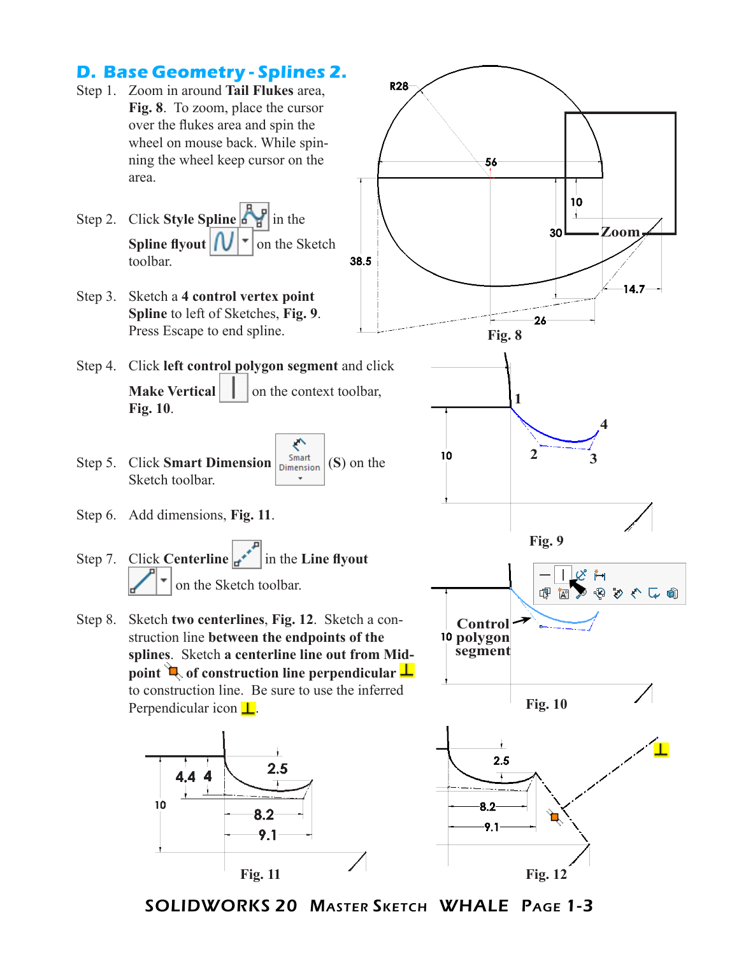

SOLIDWORKS 20 Master Sketch WHALE Page 1-3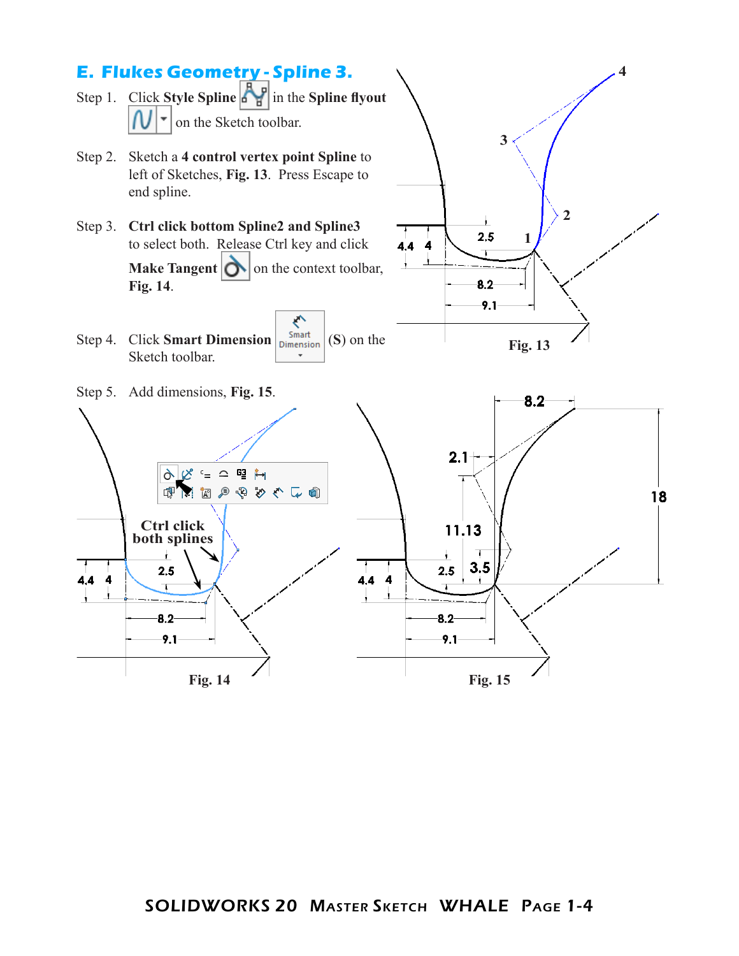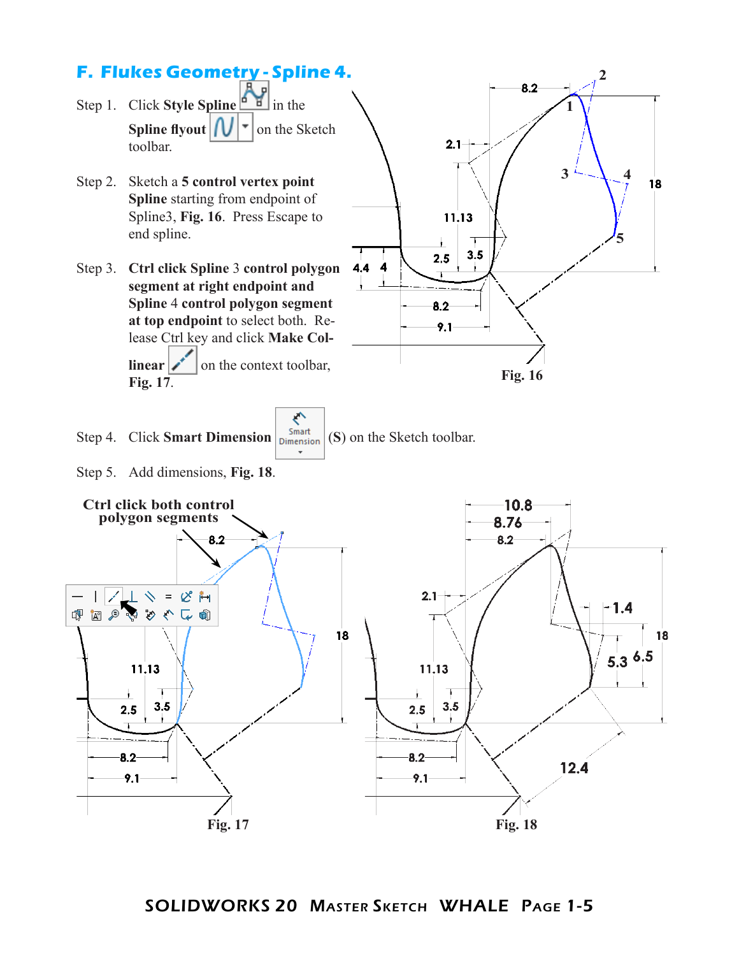## **F. Flukes Geometry - Spline 4.**



- Step 2. Sketch a **5 control vertex point Spline** starting from endpoint of Spline3, **Fig. 16**. Press Escape to end spline.
- Step 3. **Ctrl click Spline** 3 **control polygon segment at right endpoint and Spline** 4 **control polygon segment at top endpoint** to select both. Release Ctrl key and click **Make Collinear**  $\mathbf{z}^*$  on the context toolbar, **Fig. 17**.



ぐ Step 4. Click **Smart Dimension**  $\begin{bmatrix}$  Smart (S) on the Sketch toolbar.

Step 5. Add dimensions, **Fig. 18**.



SOLIDWORKS 20 Master Sketch WHALE Page 1-5